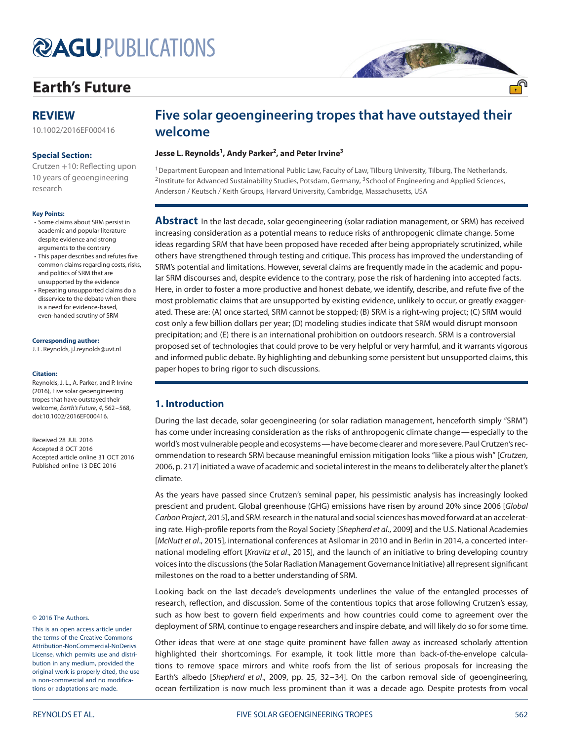# **@AGUPUBLICATIONS**

# **[Earth's Future](http://onlinelibrary.wiley.com/journal/10.1002/%28ISSN%292328-4277)**

# **REVIEW**

[10.1002/2016EF000416](http://dx.doi.org/10.1002/2016EF000416)

#### **Special Section:**

Crutzen +10: Reflecting upon [10 years of geoengineering](http://onlinelibrary.wiley.com/journal/10.1002/(ISSN)2328-4277/specialsection/GEOENGIN1) research

#### **Key Points:**

- Some claims about SRM persist in academic and popular literature despite evidence and strong arguments to the contrary
- This paper describes and refutes five common claims regarding costs, risks, and politics of SRM that are unsupported by the evidence
- Repeating unsupported claims do a disservice to the debate when there is a need for evidence-based, even-handed scrutiny of SRM

#### **Corresponding author:**

J. L. Reynolds, j.l.reynolds@uvt.nl

#### **Citation:**

Reynolds, J. L., A. Parker, and P. Irvine (2016), Five solar geoengineering tropes that have outstayed their welcome, Earth's Future, 4, 562–568, doi[:10.1002/2016EF000416.](http://dx.doi.org/info:doi/10.1002/2016EF000416)

Received 28 JUL 2016 Accepted 8 OCT 2016 Accepted article online 31 OCT 2016 Published online 13 DEC 2016

#### © 2016 The Authors.

This is an open access article under the terms of the Creative Commons Attribution-NonCommercial-NoDerivs License, which permits use and distribution in any medium, provided the original work is properly cited, the use is non-commercial and no modifications or adaptations are made.

# **Five solar geoengineering tropes that have outstayed their welcome**

大大大大大

#### **Jesse L. Reynolds<sup>1</sup> , Andy Parker<sup>2</sup> , and Peter Irvine3**

<sup>1</sup> Department European and International Public Law, Faculty of Law, Tilburg University, Tilburg, The Netherlands, <sup>2</sup> Institute for Advanced Sustainability Studies, Potsdam, Germany, <sup>3</sup> School of Engineering and Applied Sciences, Anderson / Keutsch / Keith Groups, Harvard University, Cambridge, Massachusetts, USA

**Abstract** In the last decade, solar geoengineering (solar radiation management, or SRM) has received increasing consideration as a potential means to reduce risks of anthropogenic climate change. Some ideas regarding SRM that have been proposed have receded after being appropriately scrutinized, while others have strengthened through testing and critique. This process has improved the understanding of SRM's potential and limitations. However, several claims are frequently made in the academic and popular SRM discourses and, despite evidence to the contrary, pose the risk of hardening into accepted facts. Here, in order to foster a more productive and honest debate, we identify, describe, and refute five of the most problematic claims that are unsupported by existing evidence, unlikely to occur, or greatly exaggerated. These are: (A) once started, SRM cannot be stopped; (B) SRM is a right-wing project; (C) SRM would cost only a few billion dollars per year; (D) modeling studies indicate that SRM would disrupt monsoon precipitation; and (E) there is an international prohibition on outdoors research. SRM is a controversial proposed set of technologies that could prove to be very helpful or very harmful, and it warrants vigorous and informed public debate. By highlighting and debunking some persistent but unsupported claims, this paper hopes to bring rigor to such discussions.

## **1. Introduction**

During the last decade, solar geoengineering (or solar radiation management, henceforth simply "SRM") has come under increasing consideration as the risks of anthropogenic climate change—especially to the world's most vulnerable people and ecosystems—have become clearer and more severe. Paul Crutzen's recommendation to research SRM because meaningful emission mitigation looks "like a pious wish" [Crutzen, 2006, p. 217] initiated a wave of academic and societal interest in the means to deliberately alter the planet's climate.

As the years have passed since Crutzen's seminal paper, his pessimistic analysis has increasingly looked prescient and prudent. Global greenhouse (GHG) emissions have risen by around 20% since 2006 [Global Carbon Project, 2015], and SRM research in the natural and social sciences has moved forward at an accelerating rate. High-profile reports from the Royal Society [Shepherd et al., 2009] and the U.S. National Academies [McNutt et al., 2015], international conferences at Asilomar in 2010 and in Berlin in 2014, a concerted international modeling effort [Kravitz et al., 2015], and the launch of an initiative to bring developing country voices into the discussions (the Solar Radiation Management Governance Initiative) all represent significant milestones on the road to a better understanding of SRM.

Looking back on the last decade's developments underlines the value of the entangled processes of research, reflection, and discussion. Some of the contentious topics that arose following Crutzen's essay, such as how best to govern field experiments and how countries could come to agreement over the deployment of SRM, continue to engage researchers and inspire debate, and will likely do so for some time.

Other ideas that were at one stage quite prominent have fallen away as increased scholarly attention highlighted their shortcomings. For example, it took little more than back-of-the-envelope calculations to remove space mirrors and white roofs from the list of serious proposals for increasing the Earth's albedo [Shepherd et al., 2009, pp. 25, 32–34]. On the carbon removal side of geoengineering, ocean fertilization is now much less prominent than it was a decade ago. Despite protests from vocal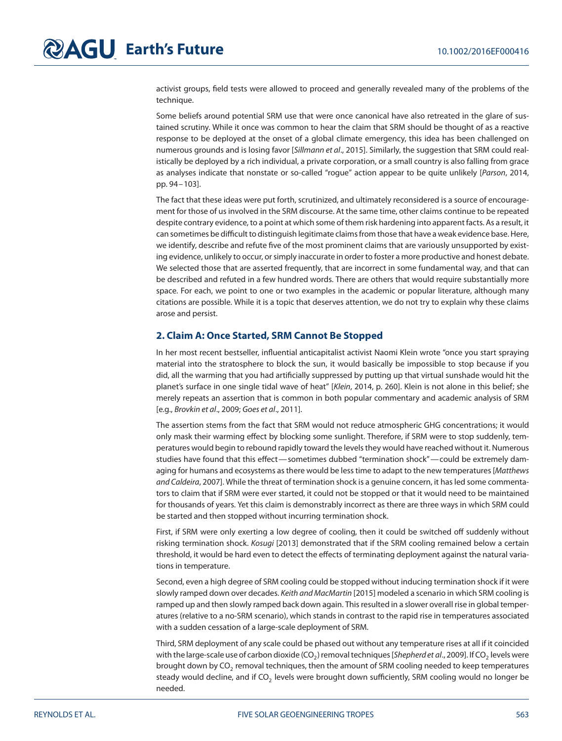activist groups, field tests were allowed to proceed and generally revealed many of the problems of the technique.

Some beliefs around potential SRM use that were once canonical have also retreated in the glare of sustained scrutiny. While it once was common to hear the claim that SRM should be thought of as a reactive response to be deployed at the onset of a global climate emergency, this idea has been challenged on numerous grounds and is losing favor [Sillmann et al., 2015]. Similarly, the suggestion that SRM could realistically be deployed by a rich individual, a private corporation, or a small country is also falling from grace as analyses indicate that nonstate or so-called "rogue" action appear to be quite unlikely [Parson, 2014, pp. 94–103].

The fact that these ideas were put forth, scrutinized, and ultimately reconsidered is a source of encouragement for those of us involved in the SRM discourse. At the same time, other claims continue to be repeated despite contrary evidence, to a point at which some of them risk hardening into apparent facts. As a result, it can sometimes be difficult to distinguish legitimate claims from those that have a weak evidence base. Here, we identify, describe and refute five of the most prominent claims that are variously unsupported by existing evidence, unlikely to occur, or simply inaccurate in order to foster a more productive and honest debate. We selected those that are asserted frequently, that are incorrect in some fundamental way, and that can be described and refuted in a few hundred words. There are others that would require substantially more space. For each, we point to one or two examples in the academic or popular literature, although many citations are possible. While it is a topic that deserves attention, we do not try to explain why these claims arose and persist.

### **2. Claim A: Once Started, SRM Cannot Be Stopped**

In her most recent bestseller, influential anticapitalist activist Naomi Klein wrote "once you start spraying material into the stratosphere to block the sun, it would basically be impossible to stop because if you did, all the warming that you had artificially suppressed by putting up that virtual sunshade would hit the planet's surface in one single tidal wave of heat" [Klein, 2014, p. 260]. Klein is not alone in this belief; she merely repeats an assertion that is common in both popular commentary and academic analysis of SRM [e.g., Brovkin et al., 2009; Goes et al., 2011].

The assertion stems from the fact that SRM would not reduce atmospheric GHG concentrations; it would only mask their warming effect by blocking some sunlight. Therefore, if SRM were to stop suddenly, temperatures would begin to rebound rapidly toward the levels they would have reached without it. Numerous studies have found that this effect—sometimes dubbed "termination shock"—could be extremely damaging for humans and ecosystems as there would be less time to adapt to the new temperatures [Matthews and Caldeira, 2007]. While the threat of termination shock is a genuine concern, it has led some commentators to claim that if SRM were ever started, it could not be stopped or that it would need to be maintained for thousands of years. Yet this claim is demonstrably incorrect as there are three ways in which SRM could be started and then stopped without incurring termination shock.

First, if SRM were only exerting a low degree of cooling, then it could be switched off suddenly without risking termination shock. Kosugi [2013] demonstrated that if the SRM cooling remained below a certain threshold, it would be hard even to detect the effects of terminating deployment against the natural variations in temperature.

Second, even a high degree of SRM cooling could be stopped without inducing termination shock if it were slowly ramped down over decades. Keith and MacMartin [2015] modeled a scenario in which SRM cooling is ramped up and then slowly ramped back down again. This resulted in a slower overall rise in global temperatures (relative to a no-SRM scenario), which stands in contrast to the rapid rise in temperatures associated with a sudden cessation of a large-scale deployment of SRM.

Third, SRM deployment of any scale could be phased out without any temperature rises at all if it coincided with the large-scale use of carbon dioxide ( $CO<sub>2</sub>$ ) removal techniques [Shepherd et al., 2009]. If CO<sub>2</sub> levels were brought down by CO<sub>2</sub> removal techniques, then the amount of SRM cooling needed to keep temperatures steady would decline, and if  $CO<sub>2</sub>$  levels were brought down sufficiently, SRM cooling would no longer be needed.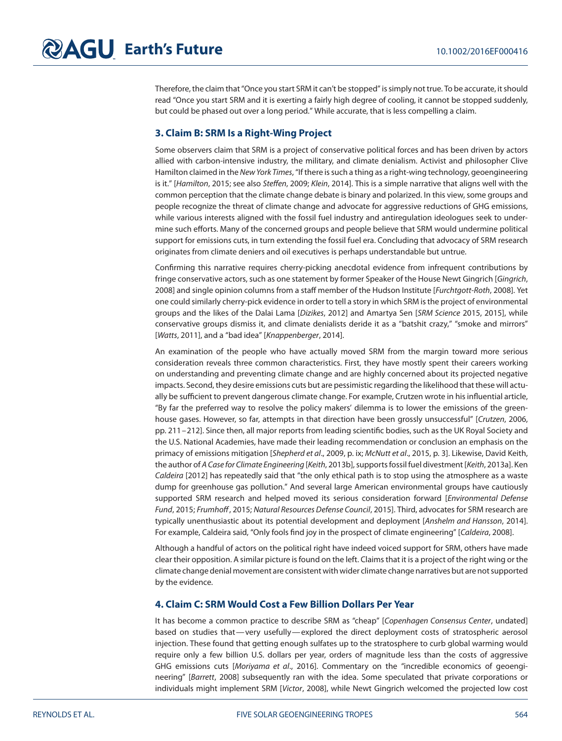Therefore, the claim that "Once you start SRM it can't be stopped" is simply not true. To be accurate, it should read "Once you start SRM and it is exerting a fairly high degree of cooling, it cannot be stopped suddenly, but could be phased out over a long period." While accurate, that is less compelling a claim.

### **3. Claim B: SRM Is a Right-Wing Project**

Some observers claim that SRM is a project of conservative political forces and has been driven by actors allied with carbon-intensive industry, the military, and climate denialism. Activist and philosopher Clive Hamilton claimed in the New York Times, "If there is such a thing as a right-wing technology, geoengineering is it." [Hamilton, 2015; see also Steffen, 2009; Klein, 2014]. This is a simple narrative that aligns well with the common perception that the climate change debate is binary and polarized. In this view, some groups and people recognize the threat of climate change and advocate for aggressive reductions of GHG emissions, while various interests aligned with the fossil fuel industry and antiregulation ideologues seek to undermine such efforts. Many of the concerned groups and people believe that SRM would undermine political support for emissions cuts, in turn extending the fossil fuel era. Concluding that advocacy of SRM research originates from climate deniers and oil executives is perhaps understandable but untrue.

Confirming this narrative requires cherry-picking anecdotal evidence from infrequent contributions by fringe conservative actors, such as one statement by former Speaker of the House Newt Gingrich [Gingrich, 2008] and single opinion columns from a staff member of the Hudson Institute [Furchtgott-Roth, 2008]. Yet one could similarly cherry-pick evidence in order to tell a story in which SRM is the project of environmental groups and the likes of the Dalai Lama [Dizikes, 2012] and Amartya Sen [SRM Science 2015, 2015], while conservative groups dismiss it, and climate denialists deride it as a "batshit crazy," "smoke and mirrors" [Watts, 2011], and a "bad idea" [Knappenberger, 2014].

An examination of the people who have actually moved SRM from the margin toward more serious consideration reveals three common characteristics. First, they have mostly spent their careers working on understanding and preventing climate change and are highly concerned about its projected negative impacts. Second, they desire emissions cuts but are pessimistic regarding the likelihood that these will actually be sufficient to prevent dangerous climate change. For example, Crutzen wrote in his influential article, "By far the preferred way to resolve the policy makers' dilemma is to lower the emissions of the greenhouse gases. However, so far, attempts in that direction have been grossly unsuccessful" [Crutzen, 2006, pp. 211–212]. Since then, all major reports from leading scientific bodies, such as the UK Royal Society and the U.S. National Academies, have made their leading recommendation or conclusion an emphasis on the primacy of emissions mitigation [Shepherd et al., 2009, p. ix; McNutt et al., 2015, p. 3]. Likewise, David Keith, the author of A Case for Climate Engineering [Keith, 2013b], supports fossil fuel divestment [Keith, 2013a]. Ken Caldeira [2012] has repeatedly said that "the only ethical path is to stop using the atmosphere as a waste dump for greenhouse gas pollution." And several large American environmental groups have cautiously supported SRM research and helped moved its serious consideration forward [Environmental Defense Fund, 2015; Frumhoff, 2015; Natural Resources Defense Council, 2015]. Third, advocates for SRM research are typically unenthusiastic about its potential development and deployment [Anshelm and Hansson, 2014]. For example, Caldeira said, "Only fools find joy in the prospect of climate engineering" [Caldeira, 2008].

Although a handful of actors on the political right have indeed voiced support for SRM, others have made clear their opposition. A similar picture is found on the left. Claims that it is a project of the right wing or the climate change denial movement are consistent with wider climate change narratives but are not supported by the evidence.

## **4. Claim C: SRM Would Cost a Few Billion Dollars Per Year**

It has become a common practice to describe SRM as "cheap" [Copenhagen Consensus Center, undated] based on studies that—very usefully—explored the direct deployment costs of stratospheric aerosol injection. These found that getting enough sulfates up to the stratosphere to curb global warming would require only a few billion U.S. dollars per year, orders of magnitude less than the costs of aggressive GHG emissions cuts [Moriyama et al., 2016]. Commentary on the "incredible economics of geoengineering" [Barrett, 2008] subsequently ran with the idea. Some speculated that private corporations or individuals might implement SRM [Victor, 2008], while Newt Gingrich welcomed the projected low cost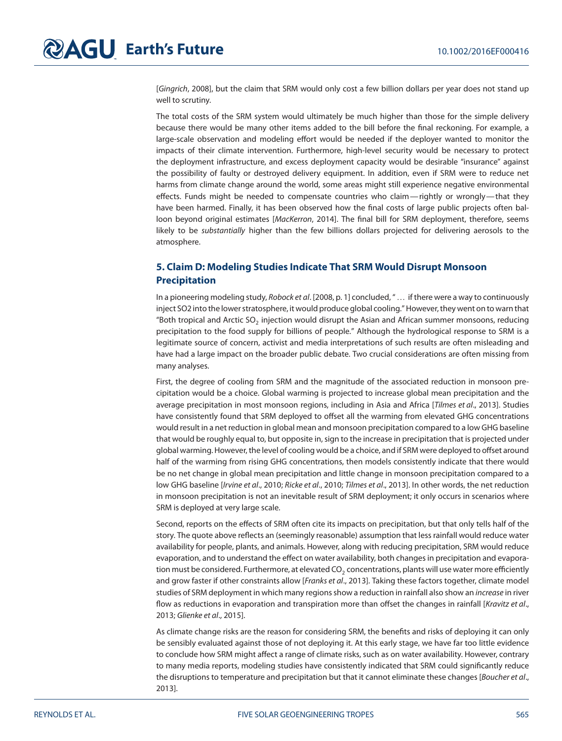[Gingrich, 2008], but the claim that SRM would only cost a few billion dollars per year does not stand up well to scrutiny.

The total costs of the SRM system would ultimately be much higher than those for the simple delivery because there would be many other items added to the bill before the final reckoning. For example, a large-scale observation and modeling effort would be needed if the deployer wanted to monitor the impacts of their climate intervention. Furthermore, high-level security would be necessary to protect the deployment infrastructure, and excess deployment capacity would be desirable "insurance" against the possibility of faulty or destroyed delivery equipment. In addition, even if SRM were to reduce net harms from climate change around the world, some areas might still experience negative environmental effects. Funds might be needed to compensate countries who claim— rightly or wrongly— that they have been harmed. Finally, it has been observed how the final costs of large public projects often balloon beyond original estimates [MacKerron, 2014]. The final bill for SRM deployment, therefore, seems likely to be substantially higher than the few billions dollars projected for delivering aerosols to the atmosphere.

# **5. Claim D: Modeling Studies Indicate That SRM Would Disrupt Monsoon Precipitation**

In a pioneering modeling study, Robock et al. [2008, p. 1] concluded, "... if there were a way to continuously inject SO2 into the lower stratosphere, it would produce global cooling." However, they went on to warn that "Both tropical and Arctic SO<sub>2</sub> injection would disrupt the Asian and African summer monsoons, reducing precipitation to the food supply for billions of people." Although the hydrological response to SRM is a legitimate source of concern, activist and media interpretations of such results are often misleading and have had a large impact on the broader public debate. Two crucial considerations are often missing from many analyses.

First, the degree of cooling from SRM and the magnitude of the associated reduction in monsoon precipitation would be a choice. Global warming is projected to increase global mean precipitation and the average precipitation in most monsoon regions, including in Asia and Africa [Tilmes et al., 2013]. Studies have consistently found that SRM deployed to offset all the warming from elevated GHG concentrations would result in a net reduction in global mean and monsoon precipitation compared to a low GHG baseline that would be roughly equal to, but opposite in, sign to the increase in precipitation that is projected under global warming. However, the level of cooling would be a choice, and if SRM were deployed to offset around half of the warming from rising GHG concentrations, then models consistently indicate that there would be no net change in global mean precipitation and little change in monsoon precipitation compared to a low GHG baseline [Irvine et al., 2010; Ricke et al., 2010; Tilmes et al., 2013]. In other words, the net reduction in monsoon precipitation is not an inevitable result of SRM deployment; it only occurs in scenarios where SRM is deployed at very large scale.

Second, reports on the effects of SRM often cite its impacts on precipitation, but that only tells half of the story. The quote above reflects an (seemingly reasonable) assumption that less rainfall would reduce water availability for people, plants, and animals. However, along with reducing precipitation, SRM would reduce evaporation, and to understand the effect on water availability, both changes in precipitation and evaporation must be considered. Furthermore, at elevated  $CO<sub>2</sub>$  concentrations, plants will use water more efficiently and grow faster if other constraints allow [Franks et al., 2013]. Taking these factors together, climate model studies of SRM deployment in which many regions show a reduction in rainfall also show an *increase* in river flow as reductions in evaporation and transpiration more than offset the changes in rainfall [Kravitz et al., 2013; Glienke et al., 2015].

As climate change risks are the reason for considering SRM, the benefits and risks of deploying it can only be sensibly evaluated against those of not deploying it. At this early stage, we have far too little evidence to conclude how SRM might affect a range of climate risks, such as on water availability. However, contrary to many media reports, modeling studies have consistently indicated that SRM could significantly reduce the disruptions to temperature and precipitation but that it cannot eliminate these changes [Boucher et al., 2013].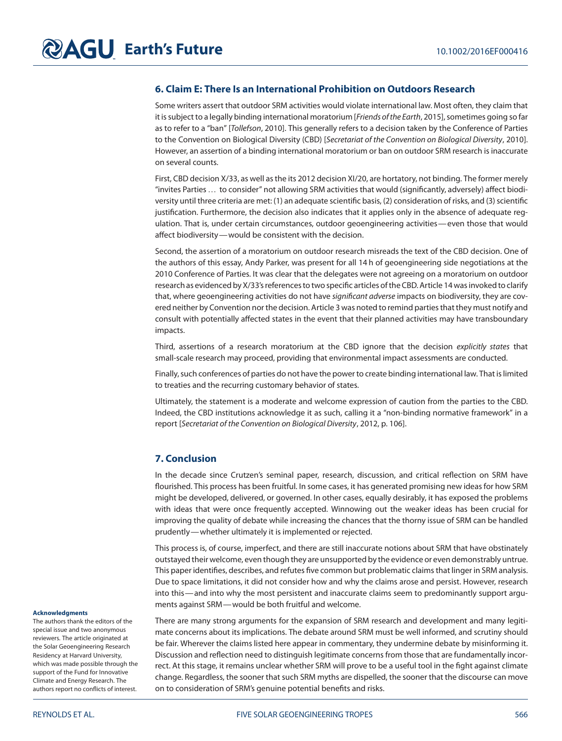### **6. Claim E: There Is an International Prohibition on Outdoors Research**

Some writers assert that outdoor SRM activities would violate international law. Most often, they claim that it is subject to a legally binding international moratorium [Friends of the Earth, 2015], sometimes going so far as to refer to a "ban" [Tollefson, 2010]. This generally refers to a decision taken by the Conference of Parties to the Convention on Biological Diversity (CBD) [Secretariat of the Convention on Biological Diversity, 2010]. However, an assertion of a binding international moratorium or ban on outdoor SRM research is inaccurate on several counts.

First, CBD decision X/33, as well as the its 2012 decision XI/20, are hortatory, not binding. The former merely "invites Parties… to consider" not allowing SRM activities that would (significantly, adversely) affect biodiversity until three criteria are met: (1) an adequate scientific basis, (2) consideration of risks, and (3) scientific justification. Furthermore, the decision also indicates that it applies only in the absence of adequate regulation. That is, under certain circumstances, outdoor geoengineering activities—even those that would affect biodiversity—would be consistent with the decision.

Second, the assertion of a moratorium on outdoor research misreads the text of the CBD decision. One of the authors of this essay, Andy Parker, was present for all 14 h of geoengineering side negotiations at the 2010 Conference of Parties. It was clear that the delegates were not agreeing on a moratorium on outdoor research as evidenced by X/33's references to two specific articles of the CBD. Article 14 was invoked to clarify that, where geoengineering activities do not have significant adverse impacts on biodiversity, they are covered neither by Convention nor the decision. Article 3 was noted to remind parties that they must notify and consult with potentially affected states in the event that their planned activities may have transboundary impacts.

Third, assertions of a research moratorium at the CBD ignore that the decision explicitly states that small-scale research may proceed, providing that environmental impact assessments are conducted.

Finally, such conferences of parties do not have the power to create binding international law. That is limited to treaties and the recurring customary behavior of states.

Ultimately, the statement is a moderate and welcome expression of caution from the parties to the CBD. Indeed, the CBD institutions acknowledge it as such, calling it a "non-binding normative framework" in a report [Secretariat of the Convention on Biological Diversity, 2012, p. 106].

#### **7. Conclusion**

In the decade since Crutzen's seminal paper, research, discussion, and critical reflection on SRM have flourished. This process has been fruitful. In some cases, it has generated promising new ideas for how SRM might be developed, delivered, or governed. In other cases, equally desirably, it has exposed the problems with ideas that were once frequently accepted. Winnowing out the weaker ideas has been crucial for improving the quality of debate while increasing the chances that the thorny issue of SRM can be handled prudently—whether ultimately it is implemented or rejected.

This process is, of course, imperfect, and there are still inaccurate notions about SRM that have obstinately outstayed their welcome, even though they are unsupported by the evidence or even demonstrably untrue. This paper identifies, describes, and refutes five common but problematic claims that linger in SRM analysis. Due to space limitations, it did not consider how and why the claims arose and persist. However, research into this—and into why the most persistent and inaccurate claims seem to predominantly support arguments against SRM—would be both fruitful and welcome.

There are many strong arguments for the expansion of SRM research and development and many legitimate concerns about its implications. The debate around SRM must be well informed, and scrutiny should be fair. Wherever the claims listed here appear in commentary, they undermine debate by misinforming it. Discussion and reflection need to distinguish legitimate concerns from those that are fundamentally incorrect. At this stage, it remains unclear whether SRM will prove to be a useful tool in the fight against climate change. Regardless, the sooner that such SRM myths are dispelled, the sooner that the discourse can move on to consideration of SRM's genuine potential benefits and risks.

#### **Acknowledgments**

The authors thank the editors of the special issue and two anonymous reviewers. The article originated at the Solar Geoengineering Research Residency at Harvard University, which was made possible through the support of the Fund for Innovative Climate and Energy Research. The authors report no conflicts of interest.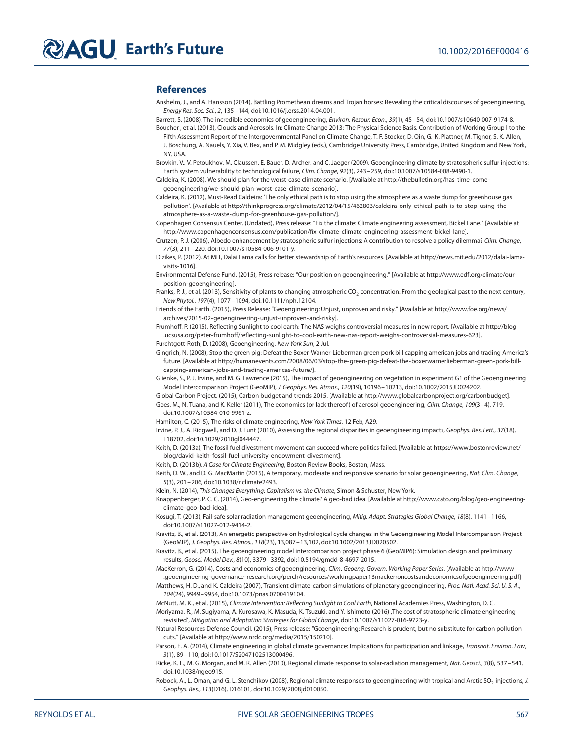#### **References**

- Anshelm, J., and A. Hansson (2014), Battling Promethean dreams and Trojan horses: Revealing the critical discourses of geoengineering, Energy Res. Soc. Sci., 2, 135–144, doi[:10.1016/j.erss.2014.04.001.](http://dx.doi.org/info:doi/10.1016/j.erss.2014.04.001)
- Barrett, S. (2008), The incredible economics of geoengineering, Environ. Resour. Econ., 39(1), 45–54, doi[:10.1007/s10640-007-9174-8.](http://dx.doi.org/info:doi/10.1007/s10640-007-9174-8)
- Boucher , et al. (2013), Clouds and Aerosols. In: Climate Change 2013: The Physical Science Basis. Contribution of Working Group I to the Fifth Assessment Report of the Intergovernmental Panel on Climate Change, T. F. Stocker, D. Qin, G.-K. Plattner, M. Tignor, S. K. Allen, J. Boschung, A. Nauels, Y. Xia, V. Bex, and P. M. Midgley (eds.), Cambridge University Press, Cambridge, United Kingdom and New York, NY, USA.
- Brovkin, V., V. Petoukhov, M. Claussen, E. Bauer, D. Archer, and C. Jaeger (2009), Geoengineering climate by stratospheric sulfur injections: Earth system vulnerability to technological failure, Clim. Change, 92(3), 243–259, doi[:10.1007/s10584-008-9490-1.](http://dx.doi.org/info:doi/10.1007/s10584-008-9490-1)
- Caldeira, K. (2008), We should plan for the worst-case climate scenario. [Available at [http://thebulletin.org/has-time-come](http://thebulletin.org/has-time-come-geoengineering/we-should-plan-worst-case-climate-scenario)[geoengineering/we-should-plan-worst-case-climate-scenario\]](http://thebulletin.org/has-time-come-geoengineering/we-should-plan-worst-case-climate-scenario).
- Caldeira, K. (2012), Must-Read Caldeira: 'The only ethical path is to stop using the atmosphere as a waste dump for greenhouse gas pollution'. [Available at [http://thinkprogress.org/climate/2012/04/15/462803/caldeira-only-ethical-path-is-to-stop-using-the](http://thinkprogress.org/climate/2012/04/15/462803/caldeira-only-ethical-path-is-to-stop-using-the-atmosphere-as-a-waste-dump-for-greenhouse-gas-pollution/)[atmosphere-as-a-waste-dump-for-greenhouse-gas-pollution/\]](http://thinkprogress.org/climate/2012/04/15/462803/caldeira-only-ethical-path-is-to-stop-using-the-atmosphere-as-a-waste-dump-for-greenhouse-gas-pollution/).
- Copenhagen Consensus Center. (Undated), Press release: "Fix the climate: Climate engineering assessment, Bickel Lane." [Available at [http://www.copenhagenconsensus.com/publication/fix-climate-climate-engineering-assessment-bickel-lane\]](http://www.copenhagenconsensus.com/publication/fix-climate-climate-engineering-assessment-bickel-lane).
- Crutzen, P. J. (2006), Albedo enhancement by stratospheric sulfur injections: A contribution to resolve a policy dilemma? Clim. Change, 77(3), 211–220, doi[:10.1007/s10584-006-9101-y.](http://dx.doi.org/info:doi/10.1007/s10584-006-9101-y)
- Dizikes, P. (2012), At MIT, Dalai Lama calls for better stewardship of Earth's resources. [Available at [http://news.mit.edu/2012/dalai-lama](http://news.mit.edu/2012/dalai-lama-visits-1016)[visits-1016\]](http://news.mit.edu/2012/dalai-lama-visits-1016).
- Environmental Defense Fund. (2015), Press release: "Our position on geoengineering." [Available at [http://www.edf.org/climate/our](http://www.edf.org/climate/our-position-geoengineering)[position-geoengineering\]](http://www.edf.org/climate/our-position-geoengineering).
- Franks, P. J., et al. (2013), Sensitivity of plants to changing atmospheric CO<sub>2</sub> concentration: From the geological past to the next century, New Phytol., 197(4), 1077–1094, doi[:10.1111/nph.12104.](http://dx.doi.org/info:doi/10.1111/nph.12104)
- Friends of the Earth. (2015), Press Release: "Geoengineering: Unjust, unproven and risky." [Available at [http://www.foe.org/news/](http://www.foe.org/news/archives/2015-02-geoengineering-unjust-unproven-and-risky) [archives/2015-02-geoengineering-unjust-unproven-and-risky\]](http://www.foe.org/news/archives/2015-02-geoengineering-unjust-unproven-and-risky).
- Frumhoff, P. (2015), Reflecting Sunlight to cool earth: The NAS weighs controversial measures in new report. [Available at [http://blog](http://blog.ucsusa.org/peter-frumhoff/reflecting-sunlight-to-cool-earth-new-nas-report-weighs-controversial-measures-623) [.ucsusa.org/peter-frumhoff/reflecting-sunlight-to-cool-earth-new-nas-report-weighs-controversial-measures-623\]](http://blog.ucsusa.org/peter-frumhoff/reflecting-sunlight-to-cool-earth-new-nas-report-weighs-controversial-measures-623). Furchtgott-Roth, D. (2008), Geoengineering, New York Sun, 2 Jul.
- Gingrich, N. (2008), Stop the green pig: Defeat the Boxer-Warner-Lieberman green pork bill capping american jobs and trading America's future. [Available a[t http://humanevents.com/2008/06/03/stop-the-green-pig-defeat-the-boxerwarnerlieberman-green-pork-bill](http://humanevents.com/2008/06/03/stop-the-green-pig-defeat-the-boxerwarnerlieberman-green-pork-bill-capping-american-jobs-and-trading-americas-future/)[capping-american-jobs-and-trading-americas-future/\]](http://humanevents.com/2008/06/03/stop-the-green-pig-defeat-the-boxerwarnerlieberman-green-pork-bill-capping-american-jobs-and-trading-americas-future/).
- Glienke, S., P. J. Irvine, and M. G. Lawrence (2015), The impact of geoengineering on vegetation in experiment G1 of the Geoengineering Model Intercomparison Project (GeoMIP), J. Geophys. Res. Atmos., 120(19), 10196–10213, doi[:10.1002/2015JD024202.](http://dx.doi.org/info:doi/10.1002/2015JD024202)
- Global Carbon Project. (2015), Carbon budget and trends 2015. [Available at [http://www.globalcarbonproject.org/carbonbudget\]](http://www.globalcarbonproject.org/carbonbudget). Goes, M., N. Tuana, and K. Keller (2011), The economics (or lack thereof) of aerosol geoengineering, Clim. Change, 109(3–4), 719, doi[:10.1007/s10584-010-9961-z.](http://dx.doi.org/info:doi/10.1007/s10584-010-9961-z)
- Hamilton, C. (2015), The risks of climate engineering, New York Times, 12 Feb, A29.
- Irvine, P. J., A. Ridgwell, and D. J. Lunt (2010), Assessing the regional disparities in geoengineering impacts, Geophys. Res. Lett., 37(18), L18702, doi[:10.1029/2010gl044447.](http://dx.doi.org/info:doi/10.1029/2010gl044447)
- Keith, D. (2013a), The fossil fuel divestment movement can succeed where politics failed. [Available at [https://www.bostonreview.net/](https://www.bostonreview.net/blog/david-keith-fossil-fuel-university-endowment-divestment) [blog/david-keith-fossil-fuel-university-endowment-divestment\]](https://www.bostonreview.net/blog/david-keith-fossil-fuel-university-endowment-divestment).
- Keith, D. (2013b), A Case for Climate Engineering, Boston Review Books, Boston, Mass.
- Keith, D. W., and D. G. MacMartin (2015), A temporary, moderate and responsive scenario for solar geoengineering, Nat. Clim. Change, 5(3), 201–206, doi[:10.1038/nclimate2493.](http://dx.doi.org/info:doi/10.1038/nclimate2493)
- Klein, N. (2014), This Changes Everything: Capitalism vs. the Climate, Simon & Schuster, New York.
- Knappenberger, P. C. C. (2014), Geo-engineering the climate? A geo-bad idea. [Available at [http://www.cato.org/blog/geo-engineering](http://www.cato.org/blog/geo-engineering-climate-geo-bad-idea)[climate-geo-bad-idea\]](http://www.cato.org/blog/geo-engineering-climate-geo-bad-idea).
- Kosugi, T. (2013), Fail-safe solar radiation management geoengineering, Mitig. Adapt. Strategies Global Change, 18(8), 1141–1166, doi[:10.1007/s11027-012-9414-2.](http://dx.doi.org/info:doi/10.1007/s11027-012-9414-2)
- Kravitz, B., et al. (2013), An energetic perspective on hydrological cycle changes in the Geoengineering Model Intercomparison Project (GeoMIP), J. Geophys. Res. Atmos., 118(23), 13,087–13,102, do[i:10.1002/2013JD020502.](http://dx.doi.org/info:doi/10.1002/2013JD020502)
- Kravitz, B., et al. (2015), The geoengineering model intercomparison project phase 6 (GeoMIP6): Simulation design and preliminary results, Geosci. Model Dev., 8(10), 3379–3392, doi[:10.5194/gmdd-8-4697-2015.](http://dx.doi.org/info:doi/10.5194/gmdd-8-4697-2015)
- MacKerron, G. (2014), Costs and economics of geoengineering, Clim. Geoeng. Govern. Working Paper Series. [Available at [http://www](http://www.geoengineering-governance-research.org/perch/resources/workingpaper13mackerroncostsandeconomicsofgeoengineering.pdf) [.geoengineering-governance-research.org/perch/resources/workingpaper13mackerroncostsandeconomicsofgeoengineering.pdf\]](http://www.geoengineering-governance-research.org/perch/resources/workingpaper13mackerroncostsandeconomicsofgeoengineering.pdf).
- Matthews, H. D., and K. Caldeira (2007), Transient climate-carbon simulations of planetary geoengineering, Proc. Natl. Acad. Sci. U. S. A., 104(24), 9949–9954, doi[:10.1073/pnas.0700419104.](http://dx.doi.org/info:doi/10.1073/pnas.0700419104)
- McNutt, M. K., et al. (2015), Climate Intervention: Reflecting Sunlight to Cool Earth, National Academies Press, Washington, D. C. Moriyama, R., M. Sugiyama, A. Kurosawa, K. Masuda, K. Tsuzuki, and Y. Ishimoto (2016) ,The cost of stratospheric climate engineering
	- revisited', Mitigation and Adaptation Strategies for Global Change, doi[:10.1007/s11027-016-9723-y.](http://dx.doi.org/info:doi/10.1007/s11027-016-9723-y)
- Natural Resources Defense Council. (2015), Press release: "Geoengineering: Research is prudent, but no substitute for carbon pollution cuts." [Available at [http://www.nrdc.org/media/2015/150210\]](http://www.nrdc.org/media/2015/150210).
- Parson, E. A. (2014), Climate engineering in global climate governance: Implications for participation and linkage, Transnat. Environ. Law, 3(1), 89–110, doi[:10.1017/S2047102513000496.](http://dx.doi.org/info:doi/10.1017/S2047102513000496)
- Ricke, K. L., M. G. Morgan, and M. R. Allen (2010), Regional climate response to solar-radiation management, Nat. Geosci., 3(8), 537–541, doi[:10.1038/ngeo915.](http://dx.doi.org/info:doi/10.1038/ngeo915)
- Robock, A., L. Oman, and G. L. Stenchikov (2008), Regional climate responses to geoengineering with tropical and Arctic SO<sub>2</sub> injections, J. Geophys. Res., 113(D16), D16101, doi[:10.1029/2008jd010050.](http://dx.doi.org/info:doi/10.1029/2008jd010050)